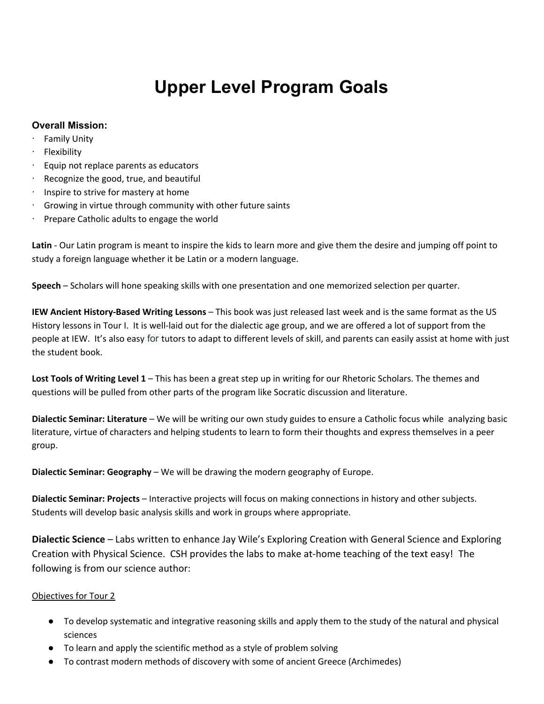## **Upper Level Program Goals**

## **Overall Mission:**

- **Family Unity**
- · Flexibility
- · Equip not replace parents as educators
- Recognize the good, true, and beautiful
- Inspire to strive for mastery at home
- Growing in virtue through community with other future saints
- Prepare Catholic adults to engage the world

**Latin** - Our Latin program is meant to inspire the kids to learn more and give them the desire and jumping off point to study a foreign language whether it be Latin or a modern language.

**Speech** – Scholars will hone speaking skills with one presentation and one memorized selection per quarter.

**IEW Ancient History-Based Writing Lessons** – This book was just released last week and is the same format as the US History lessons in Tour I. It is well-laid out for the dialectic age group, and we are offered a lot of support from the people at IEW. It's also easy for tutors to adapt to different levels of skill, and parents can easily assist at home with just the student book.

**Lost Tools of Writing Level 1** – This has been a great step up in writing for our Rhetoric Scholars. The themes and questions will be pulled from other parts of the program like Socratic discussion and literature.

**Dialectic Seminar: Literature** – We will be writing our own study guides to ensure a Catholic focus while analyzing basic literature, virtue of characters and helping students to learn to form their thoughts and express themselves in a peer group.

**Dialectic Seminar: Geography** – We will be drawing the modern geography of Europe.

**Dialectic Seminar: Projects** – Interactive projects will focus on making connections in history and other subjects. Students will develop basic analysis skills and work in groups where appropriate.

**Dialectic Science** – Labs written to enhance Jay Wile's Exploring Creation with General Science and Exploring Creation with Physical Science. CSH provides the labs to make at-home teaching of the text easy! The following is from our science author:

## Objectives for Tour 2

- To develop systematic and integrative reasoning skills and apply them to the study of the natural and physical sciences
- To learn and apply the scientific method as a style of problem solving
- To contrast modern methods of discovery with some of ancient Greece (Archimedes)